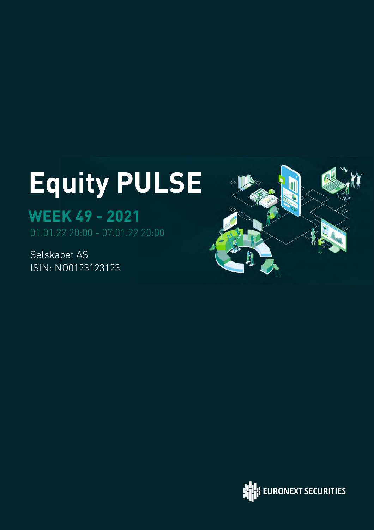# Equity PULSE

## WEEK 49 - 2021

Selskapet AS ISIN: NO0123123123



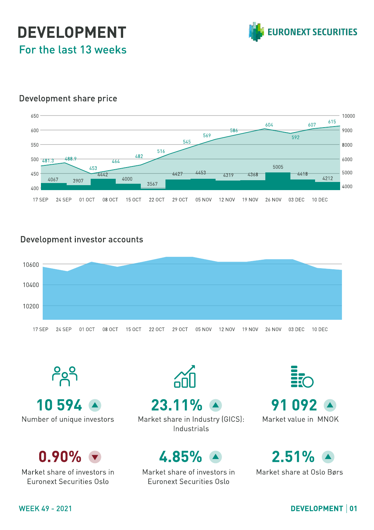### DEVELOPMENT For the last 13 weeks



#### Development share price



#### Development investor accounts



၉၄ 10 594 23.11%

 $0.90%$ 

Market share of investors in Euronext Securities Oslo

Number of unique investors Market share in Industry (GICS): Industrials

### 4.85% 2.51%

Market share of investors in Euronext Securities Oslo

91 092 Market value in MNOK

Market share at Oslo Børs

### WEEK 49 - 2021 DEVELOPMENT 01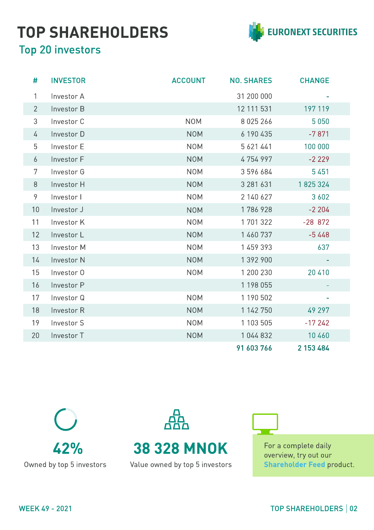### TOP SHAREHOLDERS



### Top 20 investors

| #              | <b>INVESTOR</b> | <b>ACCOUNT</b> | <b>NO. SHARES</b> | <b>CHANGE</b> |
|----------------|-----------------|----------------|-------------------|---------------|
| $\mathbf{1}$   | Investor A      |                | 31 200 000        |               |
| $\overline{2}$ | Investor B      |                | 12 111 531        | 197 119       |
| 3              | Investor C      | <b>NOM</b>     | 8 0 2 5 2 6 6     | 5 0 5 0       |
| 4              | Investor D      | <b>NOM</b>     | 6 190 435         | $-7871$       |
| 5              | Investor E      | <b>NOM</b>     | 5 621 441         | 100 000       |
| 6              | Investor F      | <b>NOM</b>     | 4754997           | $-2229$       |
| 7              | Investor G      | <b>NOM</b>     | 3596684           | 5 4 5 1       |
| 8              | Investor H      | <b>NOM</b>     | 3 281 631         | 1825324       |
| 9              | Investor I      | <b>NOM</b>     | 2 140 627         | 3 6 0 2       |
| 10             | Investor J      | <b>NOM</b>     | 1786928           | $-2204$       |
| 11             | Investor K      | <b>NOM</b>     | 1701322           | $-28872$      |
| 12             | Investor L      | <b>NOM</b>     | 1 460 737         | $-5448$       |
| 13             | Investor M      | <b>NOM</b>     | 1 459 393         | 637           |
| 14             | Investor N      | <b>NOM</b>     | 1 392 900         |               |
| 15             | Investor 0      | <b>NOM</b>     | 1 200 230         | 20 410        |
| 16             | Investor P      |                | 1 198 055         |               |
| 17             | Investor Q      | <b>NOM</b>     | 1 190 502         | ۰             |
| 18             | Investor R      | <b>NOM</b>     | 1 142 750         | 49 297        |
| 19             | Investor S      | <b>NOM</b>     | 1 103 505         | $-17242$      |
| 20             | Investor T      | <b>NOM</b>     | 1 044 832         | 10 460        |
|                |                 |                | 91 603 766        | 2 153 484     |





For a complete daily overview, try out our Shareholder Feed product.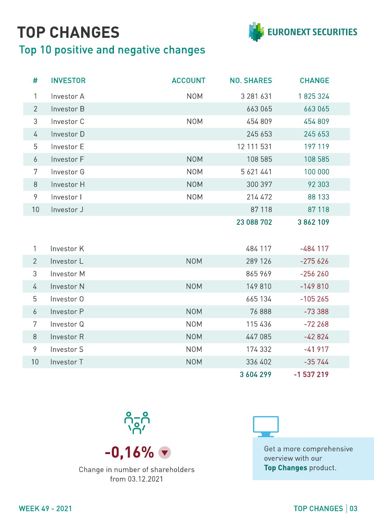## TOP CHANGES

### Top 10 positive and negative changes



| #              | <b>INVESTOR</b> | <b>ACCOUNT</b> | <b>NO. SHARES</b> | <b>CHANGE</b> |
|----------------|-----------------|----------------|-------------------|---------------|
| 1              | Investor A      | <b>NOM</b>     | 3 281 631         | 1825324       |
| $\overline{2}$ | Investor B      |                | 663 065           | 663065        |
| $\mathfrak{Z}$ | Investor C      | <b>NOM</b>     | 454 809           | 454 809       |
| 4              | Investor D      |                | 245 653           | 245 653       |
| 5              | Investor E      |                | 12 111 531        | 197 119       |
| 6              | Investor F      | <b>NOM</b>     | 108 585           | 108 585       |
| 7              | Investor G      | <b>NOM</b>     | 5 621 441         | 100 000       |
| $8\,$          | Investor H      | <b>NOM</b>     | 300 397           | 92 303        |
| 9              | Investor I      | <b>NOM</b>     | 214 472           | 88 133        |
| 10             | Investor J      |                | 87 118            | 87 118        |
|                |                 |                | 23 088 702        | 3862109       |
| 1              | Investor K      |                | 484 117           | $-484$ 117    |
| $\overline{2}$ | Investor L      | <b>NOM</b>     | 289 126           | $-275626$     |
| 3              | Investor M      |                | 865 969           | $-256260$     |
| 4              | Investor N      | <b>NOM</b>     | 149 810           | $-149810$     |
| 5              | Investor 0      |                | 665 134           | $-105265$     |
| 6              | Investor P      | <b>NOM</b>     | 76 888            | $-73388$      |
| 7              | Investor Q      | <b>NOM</b>     | 115 436           | $-72268$      |
| 8              | Investor R      | <b>NOM</b>     | 447 085           | $-42824$      |
| 9              | Investor S      | <b>NOM</b>     | 174 332           | $-41917$      |
| 10             | Investor T      | <b>NOM</b>     | 336 402           | $-35744$      |
|                |                 |                | 3 604 299         | $-1537219$    |



Change in number of shareholders from 03.12.2021



**-0,16%**  $\bullet$  **Get a more comprehensive** overview with our Top Changes product.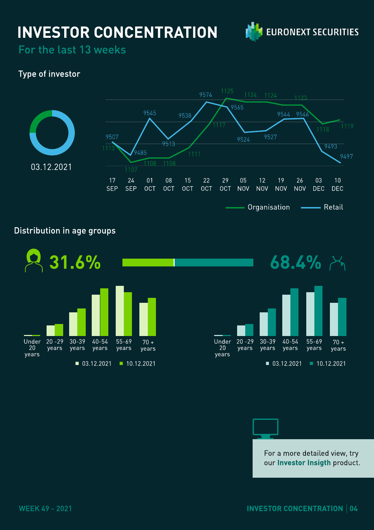### INVESTOR CONCENTRATION



For the last 13 weeks

### Type of investor



#### Distribution in age groups



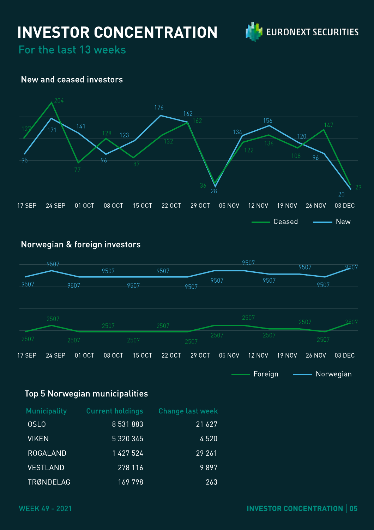### INVESTOR CONCENTRATION



For the last 13 weeks

#### New and ceased investors



#### Norwegian & foreign investors



Foreign **-** Norwegian  $\overline{\phantom{0}}$ 

### Top 5 Norwegian municipalities

| <b>Municipality</b> | <b>Current holdings</b> | <b>Change last week</b> |
|---------------------|-------------------------|-------------------------|
| <b>OSLO</b>         | 8 531 883               | 21 6 27                 |
| <b>VIKEN</b>        | 5 320 345               | 4520                    |
| <b>ROGALAND</b>     | 1427524                 | 29 26 1                 |
| <b>VESTLAND</b>     | 278 116                 | 9897                    |
| TRØNDELAG           | 169798                  | 263                     |